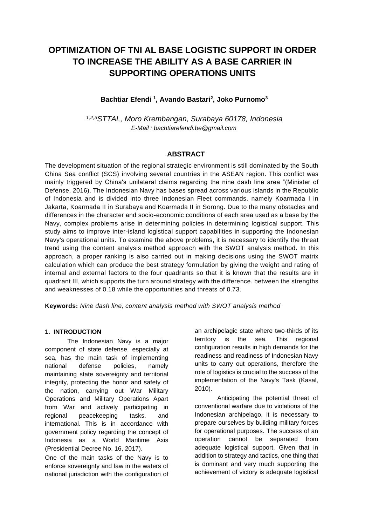# **OPTIMIZATION OF TNI AL BASE LOGISTIC SUPPORT IN ORDER TO INCREASE THE ABILITY AS A BASE CARRIER IN SUPPORTING OPERATIONS UNITS**

## **Bachtiar Efendi <sup>1</sup> , Avando Bastari<sup>2</sup> , Joko Purnomo<sup>3</sup>**

*1,2,3STTAL, Moro Krembangan, Surabaya 60178, Indonesia E-Mail : bachtiarefendi.be@gmail.com*

## **ABSTRACT**

The development situation of the regional strategic environment is still dominated by the South China Sea conflict (SCS) involving several countries in the ASEAN region. This conflict was mainly triggered by China's unilateral claims regarding the nine dash line area "(Minister of Defense, 2016). The Indonesian Navy has bases spread across various islands in the Republic of Indonesia and is divided into three Indonesian Fleet commands, namely Koarmada I in Jakarta, Koarmada II in Surabaya and Koarmada II in Sorong. Due to the many obstacles and differences in the character and socio-economic conditions of each area used as a base by the Navy, complex problems arise in determining policies in determining logistical support. This study aims to improve inter-island logistical support capabilities in supporting the Indonesian Navy's operational units. To examine the above problems, it is necessary to identify the threat trend using the content analysis method approach with the SWOT analysis method. In this approach, a proper ranking is also carried out in making decisions using the SWOT matrix calculation which can produce the best strategy formulation by giving the weight and rating of internal and external factors to the four quadrants so that it is known that the results are in quadrant III, which supports the turn around strategy with the difference. between the strengths and weaknesses of 0.18 while the opportunities and threats of 0.73.

**Keywords:** *Nine dash line, content analysis method with SWOT analysis method*

## **1. INTRODUCTION**

The Indonesian Navy is a major component of state defense, especially at sea, has the main task of implementing national defense policies, namely maintaining state sovereignty and territorial integrity, protecting the honor and safety of the nation, carrying out War Military Operations and Military Operations Apart from War and actively participating in regional peacekeeping tasks. and international. This is in accordance with government policy regarding the concept of Indonesia as a World Maritime Axis (Presidential Decree No. 16, 2017).

One of the main tasks of the Navy is to enforce sovereignty and law in the waters of national jurisdiction with the configuration of an archipelagic state where two-thirds of its territory is the sea. This regional configuration results in high demands for the readiness and readiness of Indonesian Navy units to carry out operations, therefore the role of logistics is crucial to the success of the implementation of the Navy's Task (Kasal, 2010).

Anticipating the potential threat of conventional warfare due to violations of the Indonesian archipelago, it is necessary to prepare ourselves by building military forces for operational purposes. The success of an operation cannot be separated from adequate logistical support. Given that in addition to strategy and tactics, one thing that is dominant and very much supporting the achievement of victory is adequate logistical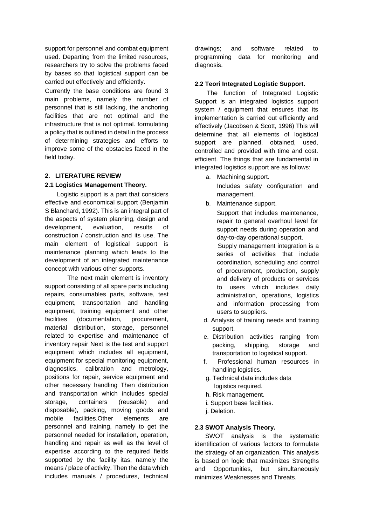support for personnel and combat equipment used. Departing from the limited resources, researchers try to solve the problems faced by bases so that logistical support can be carried out effectively and efficiently.

Currently the base conditions are found 3 main problems, namely the number of personnel that is still lacking, the anchoring facilities that are not optimal and the infrastructure that is not optimal. formulating a policy that is outlined in detail in the process of determining strategies and efforts to improve some of the obstacles faced in the field today.

## **2. LITERATURE REVIEW**

## **2.1 Logistics Management Theory.**

Logistic support is a part that considers effective and economical support (Benjamin S Blanchard, 1992). This is an integral part of the aspects of system planning, design and development, evaluation, results of construction / construction and its use. The main element of logistical support is maintenance planning which leads to the development of an integrated maintenance concept with various other supports.

The next main element is inventory support consisting of all spare parts including repairs, consumables parts, software, test equipment, transportation and handling equipment, training equipment and other facilities (documentation, procurement, material distribution, storage, personnel related to expertise and maintenance of inventory repair Next is the test and support equipment which includes all equipment, equipment for special monitoring equipment, diagnostics, calibration and metrology, positions for repair, service equipment and other necessary handling Then distribution and transportation which includes special storage, containers (reusable) and disposable), packing, moving goods and mobile facilities.Other elements are personnel and training, namely to get the personnel needed for installation, operation, handling and repair as well as the level of expertise according to the required fields supported by the facility itas, namely the means / place of activity. Then the data which includes manuals / procedures, technical drawings; and software related to programming data for monitoring and diagnosis.

## **2.2 Teori Integrated Logistic Support.**

The function of Integrated Logistic Support is an integrated logistics support system / equipment that ensures that its implementation is carried out efficiently and effectively (Jacobsen & Scott, 1996) This will determine that all elements of logistical support are planned, obtained, used, controlled and provided with time and cost. efficient. The things that are fundamental in integrated logistics support are as follows:

- a. Machining support. Includes safety configuration and management.
- b. Maintenance support.

Support that includes maintenance, repair to general overhoul level for support needs during operation and day-to-day operational support.

 Supply management integration is a series of activities that include coordination, scheduling and control of procurement, production, supply and delivery of products or services to users which includes daily administration, operations, logistics and information processing from users to suppliers.

- d. Analysis of training needs and training support.
- e. Distribution activities ranging from packing, shipping, storage and transportation to logistical support.
- f. Professional human resources in handling logistics.
- g. Technical data includes data logistics required.
- h. Risk management.
- i. Support base facilities.
- j. Deletion.

## **2.3 SWOT Analysis Theory.**

 SWOT analysis is the systematic identification of various factors to formulate the strategy of an organization. This analysis is based on logic that maximizes Strengths and Opportunities, but simultaneously minimizes Weaknesses and Threats.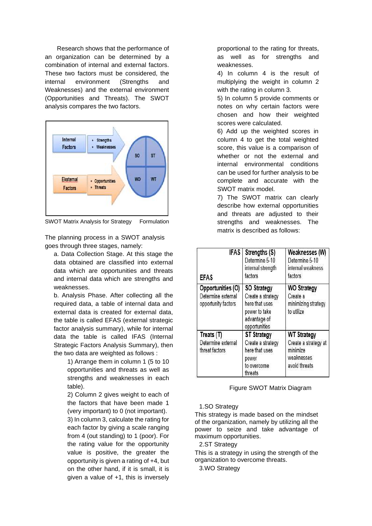Research shows that the performance of an organization can be determined by a combination of internal and external factors. These two factors must be considered, the internal environment (Strengths and Weaknesses) and the external environment (Opportunities and Threats). The SWOT analysis compares the two factors.



SWOT Matrix Analysis for Strategy Formulation

The planning process in a SWOT analysis goes through three stages, namely:

a. Data Collection Stage. At this stage the data obtained are classified into external data which are opportunities and threats and internal data which are strengths and weaknesses.

b. Analysis Phase. After collecting all the required data, a table of internal data and external data is created for external data, the table is called EFAS (external strategic factor analysis summary), while for internal data the table is called IFAS (Internal Strategic Factors Analysis Summary), then the two data are weighted as follows :

> 1) Arrange them in column 1 (5 to 10 opportunities and threats as well as strengths and weaknesses in each table).

2) Column 2 gives weight to each of the factors that have been made 1 (very important) to 0 (not important). 3) In column 3, calculate the rating for each factor by giving a scale ranging from 4 (out standing) to 1 (poor). For the rating value for the opportunity value is positive, the greater the opportunity is given a rating of +4, but on the other hand, if it is small, it is given a value of +1, this is inversely

proportional to the rating for threats, as well as for strengths and weaknesses.

4) In column 4 is the result of multiplying the weight in column 2 with the rating in column 3.

5) In column 5 provide comments or notes on why certain factors were chosen and how their weighted scores were calculated.

6) Add up the weighted scores in column 4 to get the total weighted score, this value is a comparison of whether or not the external and internal environmental conditions can be used for further analysis to be complete and accurate with the SWOT matrix model.

7) The SWOT matrix can clearly describe how external opportunities and threats are adjusted to their strengths and weaknesses. The matrix is described as follows:

| <b>IFAS</b><br><b>EFAS</b>                                     | Strengths (S)<br>Determine 5-10<br>internal strength<br>factors                                             | Weaknesses (W)<br>Determine 5-10<br>internal weakness<br>factors                      |
|----------------------------------------------------------------|-------------------------------------------------------------------------------------------------------------|---------------------------------------------------------------------------------------|
| Opportunities (O)<br>Determine external<br>opportunity factors | <b>SO Strategy</b><br>Create a strategy<br>here that uses<br>power to take<br>advantage of<br>opportunities | <b>WO Strategy</b><br>Create a<br>minimizing strategy<br>to utilize                   |
| Treats (T)<br>Determine external<br>threat factors             | <b>ST Strategy</b><br>Create a strategy<br>here that uses<br>power<br>to overcome<br>threats                | <b>WT Strategy</b><br>Create a strategy at<br>minimize<br>weaknesses<br>avoid threats |

#### Figure SWOT Matrix Diagram

#### 1.SO Strategy

This strategy is made based on the mindset of the organization, namely by utilizing all the power to seize and take advantage of maximum opportunities.

2.ST Strategy

This is a strategy in using the strength of the organization to overcome threats.

3.WO Strategy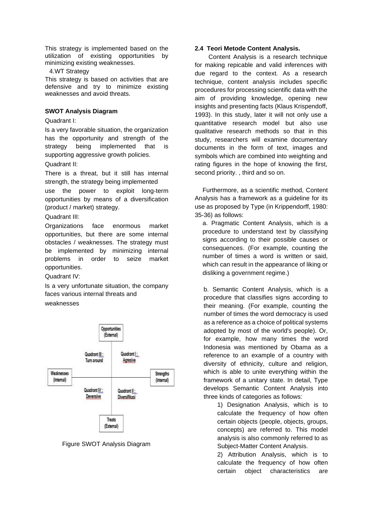This strategy is implemented based on the utilization of existing opportunities by minimizing existing weaknesses.

#### 4.WT Strategy

This strategy is based on activities that are defensive and try to minimize existing weaknesses and avoid threats.

#### **SWOT Analysis Diagram**

#### Quadrant I:

Is a very favorable situation, the organization has the opportunity and strength of the strategy being implemented that is supporting aggressive growth policies. Quadrant II:

There is a threat, but it still has internal strength, the strategy being implemented

use the power to exploit long-term opportunities by means of a diversification (product / market) strategy.

Quadrant III:

Organizations face enormous market opportunities, but there are some internal obstacles / weaknesses. The strategy must be implemented by minimizing internal problems in order to seize market opportunities.

Quadrant IV:

Is a very unfortunate situation, the company faces various internal threats and weaknesses



Figure SWOT Analysis Diagram

#### **2.4 Teori Metode Content Analysis.**

 Content Analysis is a research technique for making repicable and valid inferences with due regard to the context. As a research technique, content analysis includes specific procedures for processing scientific data with the aim of providing knowledge, opening new insights and presenting facts (Klaus Krispendoff, 1993). In this study, later it will not only use a quantitative research model but also use qualitative research methods so that in this study, researchers will examine documentary documents in the form of text, images and symbols which are combined into weighting and rating figures in the hope of knowing the first, second priority. , third and so on.

Furthermore, as a scientific method, Content Analysis has a framework as a guideline for its use as proposed by Type (in Krippendorff, 1980: 35-36) as follows:

a. Pragmatic Content Analysis, which is a procedure to understand text by classifying signs according to their possible causes or consequences. (For example, counting the number of times a word is written or said, which can result in the appearance of liking or disliking a government regime.)

b. Semantic Content Analysis, which is a procedure that classifies signs according to their meaning. (For example, counting the number of times the word democracy is used as a reference as a choice of political systems adopted by most of the world's people). Or, for example, how many times the word Indonesia was mentioned by Obama as a reference to an example of a country with diversity of ethnicity, culture and religion, which is able to unite everything within the framework of a unitary state. In detail, Type develops Semantic Content Analysis into three kinds of categories as follows:

> 1) Designation Analysis, which is to calculate the frequency of how often certain objects (people, objects, groups, concepts) are referred to. This model analysis is also commonly referred to as Subject-Matter Content Analysis.

> 2) Attribution Analysis, which is to calculate the frequency of how often certain object characteristics are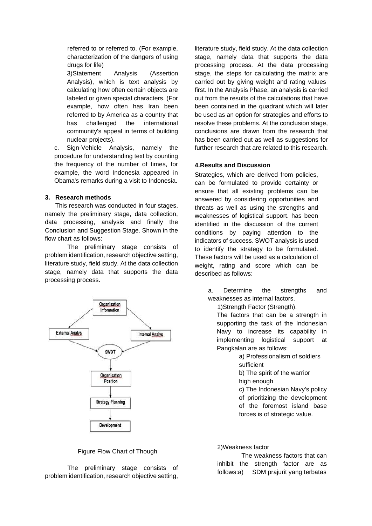referred to or referred to. (For example, characterization of the dangers of using drugs for life)

3)Statement Analysis (Assertion Analysis), which is text analysis by calculating how often certain objects are labeled or given special characters. (For example, how often has Iran been referred to by America as a country that has challenged the international community's appeal in terms of building nuclear projects).

c. Sign-Vehicle Analysis, namely the procedure for understanding text by counting the frequency of the number of times, for example, the word Indonesia appeared in Obama's remarks during a visit to Indonesia.

#### **3. Research methods**

 This research was conducted in four stages, namely the preliminary stage, data collection, data processing, analysis and finally the Conclusion and Suggestion Stage. Shown in the flow chart as follows:

The preliminary stage consists of problem identification, research objective setting, literature study, field study. At the data collection stage, namely data that supports the data processing process.



## Figure Flow Chart of Though

The preliminary stage consists of problem identification, research objective setting,

literature study, field study. At the data collection stage, namely data that supports the data processing process. At the data processing stage, the steps for calculating the matrix are carried out by giving weight and rating values first. In the Analysis Phase, an analysis is carried out from the results of the calculations that have been contained in the quadrant which will later be used as an option for strategies and efforts to resolve these problems. At the conclusion stage, conclusions are drawn from the research that has been carried out as well as suggestions for further research that are related to this research.

#### **4.Results and Discussion**

Strategies, which are derived from policies, can be formulated to provide certainty or ensure that all existing problems can be answered by considering opportunities and threats as well as using the strengths and weaknesses of logistical support. has been identified in the discussion of the current conditions by paying attention to the indicators of success. SWOT analysis is used to identify the strategy to be formulated. These factors will be used as a calculation of weight, rating and score which can be described as follows:

a. Determine the strengths and weaknesses as internal factors.

1)Strength Factor (Strength).

The factors that can be a strength in supporting the task of the Indonesian Navy to increase its capability in implementing logistical support at Pangkalan are as follows:

> a) Professionalism of soldiers sufficient

b) The spirit of the warrior high enough

c) The Indonesian Navy's policy of prioritizing the development of the foremost island base forces is of strategic value.

## 2)Weakness factor

 The weakness factors that can inhibit the strength factor are as follows:a) SDM prajurit yang terbatas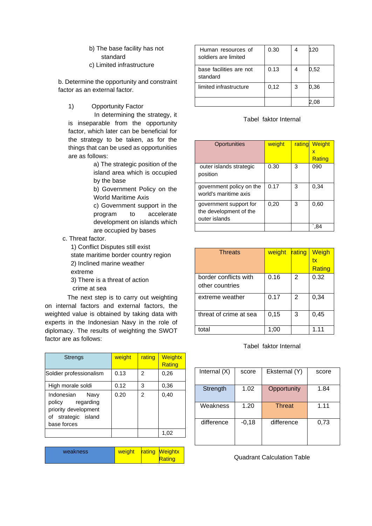- b) The base facility has not standard
- c) Limited infrastructure

b. Determine the opportunity and constraint factor as an external factor.

1) Opportunity Factor

 In determining the strategy, it is inseparable from the opportunity factor, which later can be beneficial for the strategy to be taken, as for the things that can be used as opportunities are as follows:

> a) The strategic position of the island area which is occupied by the base

> b) Government Policy on the World Maritime Axis

> c) Government support in the program to accelerate development on islands which are occupied by bases

- c. Threat factor.
	- 1) Conflict Disputes still exist

state maritime border country region

- 2) Inclined marine weather
- extreme
- 3) There is a threat of action
- crime at sea

The next step is to carry out weighting on internal factors and external factors, the weighted value is obtained by taking data with experts in the Indonesian Navy in the role of diplomacy. The results of weighting the SWOT factor are as follows:

| <b>Strengs</b>                                                                                       | weight | rating | Weightx<br>Rating |
|------------------------------------------------------------------------------------------------------|--------|--------|-------------------|
| Soldier professionalism                                                                              | 0.13   | 2      | 0,26              |
| High morale soldi                                                                                    | 0.12   | 3      | 0,36              |
| Indonesian<br>Navy<br>policy regarding<br>priority development<br>of strategic island<br>base forces | 0.20   | 2      | 0,40              |
|                                                                                                      |        |        | 1,02              |

| Rating | weight<br><b>rating Weightx</b><br>weakness |
|--------|---------------------------------------------|
|--------|---------------------------------------------|

| Human resources of<br>soldiers are limited | 0.30 |   | 120  |
|--------------------------------------------|------|---|------|
| base facilities are not<br>standard        | 0.13 |   | 0.52 |
| limited infrastructure                     | 0,12 | 3 | 0.36 |
|                                            |      |   |      |

### Tabel faktor Internal

| Oportunities                                                      | weight | rating | <b>Weight</b><br>x<br>Rating |
|-------------------------------------------------------------------|--------|--------|------------------------------|
| outer islands strategic<br>position                               | 0.30   | 3      | 090                          |
| government policy on the<br>world's maritime axis                 | 0.17   | 3      | 0,34                         |
| government support for<br>the development of the<br>outer islands | 0,20   | 3      | 0,60                         |
|                                                                   |        |        |                              |

| <b>Threats</b>         | weight | rating | Weigh  |
|------------------------|--------|--------|--------|
|                        |        |        | tx     |
|                        |        |        | Rating |
| border conflicts with  | 0.16   | 2      | 0.32   |
| other countries        |        |        |        |
| extreme weather        | 0.17   | 2      | 0,34   |
|                        |        |        |        |
| threat of crime at sea | 0, 15  | 3      | 0,45   |
|                        |        |        |        |
| total                  | 1:00   |        | 1 11   |

#### Tabel faktor Internal

| Internal (X) | score   | Eksternal (Y) | score |
|--------------|---------|---------------|-------|
| Strength     | 1.02    | Opportunity   | 1.84  |
| Weakness     | 1.20    | <b>Threat</b> | 1.11  |
| difference   | $-0,18$ | difference    | 0,73  |

Quadrant Calculation Table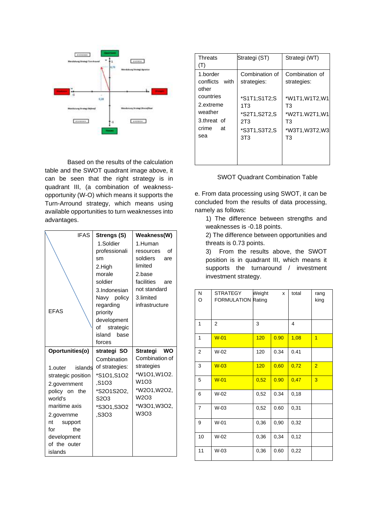

Based on the results of the calculation table and the SWOT quadrant image above, it can be seen that the right strategy is in quadrant III, (a combination of weaknessopportunity (W-O) which means it supports the Turn-Arround strategy, which means using available opportunities to turn weaknesses into advantages.

| <b>IFAS</b>             | Strengs (S)                   | Weakness(W)       |
|-------------------------|-------------------------------|-------------------|
|                         | 1.Soldier                     | 1.Human           |
|                         | professionali                 | Ωf<br>resources   |
|                         | sm                            | soldiers<br>are   |
|                         | 2.High                        | limited           |
|                         | morale                        | 2.base            |
|                         | soldier                       | facilities<br>are |
|                         | 3.Indonesian                  | not standard      |
|                         | Navy policy                   | 3.limited         |
|                         | regarding                     | infrastructure    |
| <b>FFAS</b>             | priority                      |                   |
|                         | development                   |                   |
|                         | of<br>strategic               |                   |
|                         | island<br>base                |                   |
|                         | forces                        |                   |
|                         |                               |                   |
| Oportunities(o)         | strategi SO                   | Strategi WO       |
|                         | Combination                   | Combination of    |
| islands<br>1.outer      | of strategies:                | strategies        |
| strategic position      | *S101.S102                    | *W1O1, W1O2.      |
| 2.government            | S1O3.                         | W1O3              |
| policy on the           | *S2O1S2O2,                    | *W2O1, W2O2,      |
| world's                 | S <sub>2</sub> O <sub>3</sub> | W2O3              |
| maritime axis           | *S3O1,S3O2                    | *W3O1, W3O2,      |
| 2.governme              | .S3O3                         | W3O3              |
| nt<br>support           |                               |                   |
| for<br>the              |                               |                   |
| development             |                               |                   |
| of the outer<br>islands |                               |                   |

| <b>Threats</b><br>(T)                                     | Strategi (ST)                                                                             | Strategi (WT)                                                                     |
|-----------------------------------------------------------|-------------------------------------------------------------------------------------------|-----------------------------------------------------------------------------------|
| 1.border<br>with<br>conflicts<br>other<br>countries       | Combination of<br>strategies:                                                             | Combination of<br>strategies:                                                     |
| 2.extreme<br>weather<br>3.threat of<br>crime<br>at<br>sea | *S1T1;S1T2;S<br>1T3<br>*S2T1,S2T2,S<br>2T <sub>3</sub><br>*S3T1,S3T2,S<br>3T <sub>3</sub> | *W1T1, W1T2, W1<br>T3<br>*W2T1.W2T1,W1<br>T3<br>*W3T1, W3T2, W3<br>T <sub>3</sub> |

## SWOT Quadrant Combination Table

e. From data processing using SWOT, it can be concluded from the results of data processing, namely as follows:

1) The difference between strengths and weaknesses is -0.18 points.

2) The difference between opportunities and threats is 0.73 points.

3) From the results above, the SWOT position is in quadrant III, which means it supports the turnaround / investment investment strategy.

| N<br>O         | <b>STRATEGY</b><br><b>FORMULATION Rating</b> | Weight | X    | total | rang<br>king   |
|----------------|----------------------------------------------|--------|------|-------|----------------|
| 1              | 2                                            | 3      |      | 4     |                |
| 1              | $W-01$                                       | 120    | 0.90 | 1,08  | $\overline{1}$ |
| $\overline{2}$ | $W-02$                                       | 120    | 0.34 | 0.41  |                |
| 3              | $W-03$                                       | 120    | 0,60 | 0,72  | $\overline{2}$ |
| 5              | $W-01$                                       | 0,52   | 0.90 | 0,47  | 3              |
| 6              | $W-02$                                       | 0,52   | 0.34 | 0, 18 |                |
| $\overline{7}$ | W-03                                         | 0,52   | 0.60 | 0,31  |                |
| 9              | $W-01$                                       | 0,36   | 0,90 | 0,32  |                |
| 10             | $W-02$                                       | 0,36   | 0,34 | 0,12  |                |
| 11             | W-03                                         | 0,36   | 0.60 | 0,22  |                |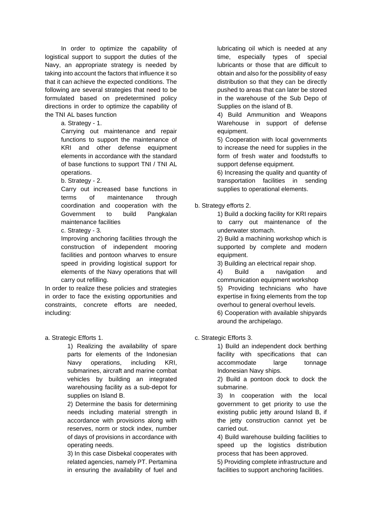In order to optimize the capability of logistical support to support the duties of the Navy, an appropriate strategy is needed by taking into account the factors that influence it so that it can achieve the expected conditions. The following are several strategies that need to be formulated based on predetermined policy directions in order to optimize the capability of the TNI AL bases function

a. Strategy - 1.

Carrying out maintenance and repair functions to support the maintenance of KRI and other defense equipment elements in accordance with the standard of base functions to support TNI / TNI AL operations.

b. Strategy - 2.

Carry out increased base functions in terms of maintenance through coordination and cooperation with the Government to build Pangkalan maintenance facilities

c. Strategy - 3.

Improving anchoring facilities through the construction of independent mooring facilities and pontoon wharves to ensure speed in providing logistical support for elements of the Navy operations that will carry out refilling.

In order to realize these policies and strategies in order to face the existing opportunities and constraints, concrete efforts are needed, including:

a. Strategic Efforts 1.

1) Realizing the availability of spare parts for elements of the Indonesian Navy operations, including KRI, submarines, aircraft and marine combat vehicles by building an integrated warehousing facility as a sub-depot for supplies on Island B.

2) Determine the basis for determining needs including material strength in accordance with provisions along with reserves, norm or stock index, number of days of provisions in accordance with operating needs.

3) In this case Disbekal cooperates with related agencies, namely PT. Pertamina in ensuring the availability of fuel and lubricating oil which is needed at any time, especially types of special lubricants or those that are difficult to obtain and also for the possibility of easy distribution so that they can be directly pushed to areas that can later be stored in the warehouse of the Sub Depo of Supplies on the island of B.

4) Build Ammunition and Weapons Warehouse in support of defense equipment.

5) Cooperation with local governments to increase the need for supplies in the form of fresh water and foodstuffs to support defense equipment.

6) Increasing the quality and quantity of transportation facilities in sending supplies to operational elements.

## b. Strategy efforts 2.

1) Build a docking facility for KRI repairs to carry out maintenance of the underwater stomach.

2) Build a machining workshop which is supported by complete and modern equipment.

3) Building an electrical repair shop.

4) Build a navigation and communication equipment workshop

5) Providing technicians who have expertise in fixing elements from the top overhoul to general overhoul levels.

6) Cooperation with available shipyards around the archipelago.

c. Strategic Efforts 3.

1) Build an independent dock berthing facility with specifications that can accommodate large tonnage Indonesian Navy ships.

2) Build a pontoon dock to dock the submarine.

3) In cooperation with the local government to get priority to use the existing public jetty around Island B, if the jetty construction cannot yet be carried out.

4) Build warehouse building facilities to speed up the logistics distribution process that has been approved.

5) Providing complete infrastructure and facilities to support anchoring facilities.